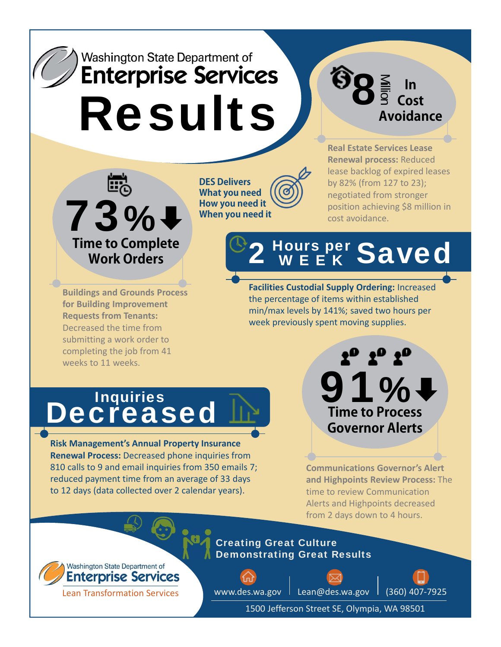## Washington State Department of **Enterprise Services** Results

**SEP In Cost Avoidance**



**DES Delivers What you need How you need it When you need it**

**Real Estate Services Lease Renewal process:** Reduced lease backlog of expired leases by 82% (from 127 to 23); negotiated from stronger position achieving \$8 million in cost avoidance.

**Facilities Custodial Supply Ordering:** Increased the percentage of items within established min/max levels by 141%; saved two hours per week previously spent moving supplies.

2 Hours per Saved

**Buildings and Grounds Process for Building Improvement Requests from Tenants:** Decreased the time from submitting a work order to completing the job from 41 weeks to 11 weeks.

**Decreased** 

**Risk Management's Annual Property Insurance Renewal Process:** Decreased phone inquiries from 810 calls to 9 and email inquiries from 350 emails 7; reduced payment time from an average of 33 days to 12 days (data collected over 2 calendar years).

**Communications Governor's Alert and Highpoints Review Process:** The time to review Communication Alerts and Highpoints decreased from 2 days down to 4 hours.

91 %

**Time to Process Governor Alerts**

 $2^0$   $2^0$   $2^0$ 

Washington State Department of **Enterprise Services** 

Lean Transformation Services

Creating Great Culture Demonstrating Great Results

www.des.wa.gov | Lean@des.wa.gov | (360) 407-7925

1500 Jefferson Street SE, Olympia, WA 98501